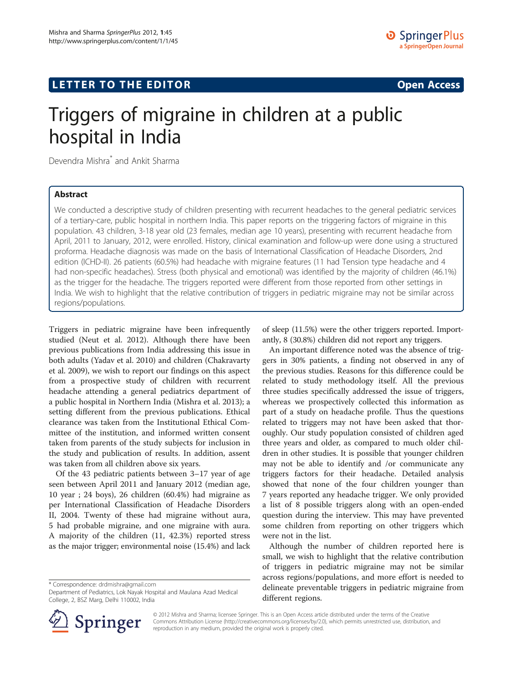# Triggers of migraine in children at a public hospital in India

Devendra Mishra\* and Ankit Sharma

# Abstract

We conducted a descriptive study of children presenting with recurrent headaches to the general pediatric services of a tertiary-care, public hospital in northern India. This paper reports on the triggering factors of migraine in this population. 43 children, 3-18 year old (23 females, median age 10 years), presenting with recurrent headache from April, 2011 to January, 2012, were enrolled. History, clinical examination and follow-up were done using a structured proforma. Headache diagnosis was made on the basis of International Classification of Headache Disorders, 2nd edition (ICHD-II). 26 patients (60.5%) had headache with migraine features (11 had Tension type headache and 4 had non-specific headaches). Stress (both physical and emotional) was identified by the majority of children (46.1%) as the trigger for the headache. The triggers reported were different from those reported from other settings in India. We wish to highlight that the relative contribution of triggers in pediatric migraine may not be similar across regions/populations.

Triggers in pediatric migraine have been infrequently studied (Neut et al. [2012](#page-1-0)). Although there have been previous publications from India addressing this issue in both adults (Yadav et al. [2010\)](#page-1-0) and children (Chakravarty et al. [2009\)](#page-1-0), we wish to report our findings on this aspect from a prospective study of children with recurrent headache attending a general pediatrics department of a public hospital in Northern India (Mishra et al. [2013](#page-1-0)); a setting different from the previous publications. Ethical clearance was taken from the Institutional Ethical Committee of the institution, and informed written consent taken from parents of the study subjects for inclusion in the study and publication of results. In addition, assent was taken from all children above six years.

Of the 43 pediatric patients between 3–17 year of age seen between April 2011 and January 2012 (median age, 10 year ; 24 boys), 26 children (60.4%) had migraine as per International Classification of Headache Disorders II, [2004](#page-1-0). Twenty of these had migraine without aura, 5 had probable migraine, and one migraine with aura. A majority of the children (11, 42.3%) reported stress as the major trigger; environmental noise (15.4%) and lack

\* Correspondence: [drdmishra@gmail.com](mailto:drdmishra@gmail.com)



An important difference noted was the absence of triggers in 30% patients, a finding not observed in any of the previous studies. Reasons for this difference could be related to study methodology itself. All the previous three studies specifically addressed the issue of triggers, whereas we prospectively collected this information as part of a study on headache profile. Thus the questions related to triggers may not have been asked that thoroughly. Our study population consisted of children aged three years and older, as compared to much older children in other studies. It is possible that younger children may not be able to identify and /or communicate any triggers factors for their headache. Detailed analysis showed that none of the four children younger than 7 years reported any headache trigger. We only provided a list of 8 possible triggers along with an open-ended question during the interview. This may have prevented some children from reporting on other triggers which were not in the list.

Although the number of children reported here is small, we wish to highlight that the relative contribution of triggers in pediatric migraine may not be similar across regions/populations, and more effort is needed to delineate preventable triggers in pediatric migraine from different regions.



© 2012 Mishra and Sharma; licensee Springer. This is an Open Access article distributed under the terms of the Creative Commons Attribution License (<http://creativecommons.org/licenses/by/2.0>), which permits unrestricted use, distribution, and reproduction in any medium, provided the original work is properly cited.

Department of Pediatrics, Lok Nayak Hospital and Maulana Azad Medical College, 2, BSZ Marg, Delhi 110002, India